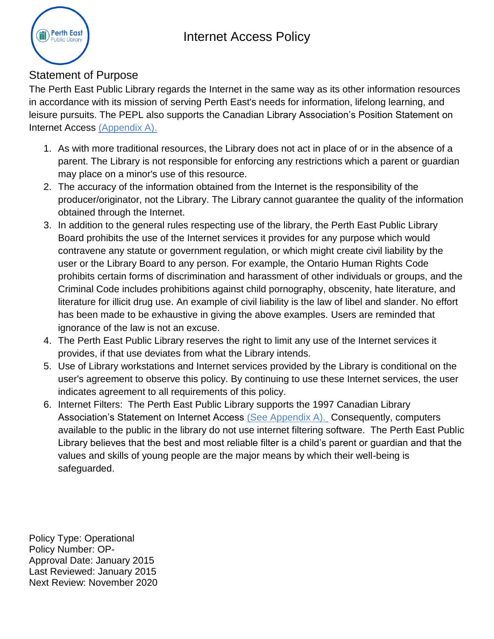## Internet Access Policy



## Statement of Purpose

The Perth East Public Library regards the Internet in the same way as its other information resources in accordance with its mission of serving Perth East's needs for information, lifelong learning, and leisure pursuits. The PEPL also supports the Canadian Library Association's Position Statement on Internet Access [\(Appendix A\).](#page-1-0)

- 1. As with more traditional resources, the Library does not act in place of or in the absence of a parent. The Library is not responsible for enforcing any restrictions which a parent or guardian may place on a minor's use of this resource.
- 2. The accuracy of the information obtained from the Internet is the responsibility of the producer/originator, not the Library. The Library cannot guarantee the quality of the information obtained through the Internet.
- 3. In addition to the general rules respecting use of the library, the Perth East Public Library Board prohibits the use of the Internet services it provides for any purpose which would contravene any statute or government regulation, or which might create civil liability by the user or the Library Board to any person. For example, the Ontario Human Rights Code prohibits certain forms of discrimination and harassment of other individuals or groups, and the Criminal Code includes prohibitions against child pornography, obscenity, hate literature, and literature for illicit drug use. An example of civil liability is the law of libel and slander. No effort has been made to be exhaustive in giving the above examples. Users are reminded that ignorance of the law is not an excuse.
- 4. The Perth East Public Library reserves the right to limit any use of the Internet services it provides, if that use deviates from what the Library intends.
- 5. Use of Library workstations and Internet services provided by the Library is conditional on the user's agreement to observe this policy. By continuing to use these Internet services, the user indicates agreement to all requirements of this policy.
- 6. Internet Filters: The Perth East Public Library supports the 1997 Canadian Library Association's Statement on Internet Access [\(See Appendix A\).](#page-1-0) Consequently, computers available to the public in the library do not use internet filtering software. The Perth East Public Library believes that the best and most reliable filter is a child's parent or guardian and that the values and skills of young people are the major means by which their well-being is safeguarded.

Policy Type: Operational Policy Number: OP-Approval Date: January 2015 Last Reviewed: January 2015 Next Review: November 2020